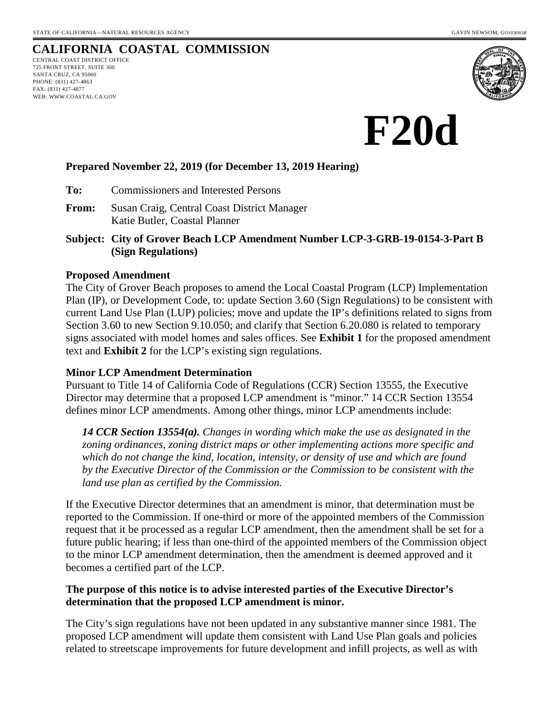# **CALIFORNIA COASTAL COMMISSION**

CENTRAL COAST DISTRICT OFFICE 725 FRONT STREET, SUITE 300 SANTA CRUZ, CA 95060 PHONE: (831) 427-4863 FAX: (831) 427-4877 WEB: WWW.COASTAL.CA.GOV





## **Prepared November 22, 2019 (for December 13, 2019 Hearing)**

**To:** Commissioners and Interested Persons

- **From:** Susan Craig, Central Coast District Manager Katie Butler, Coastal Planner
- **Subject: City of Grover Beach LCP Amendment Number LCP-3-GRB-19-0154-3-Part B (Sign Regulations)**

#### **Proposed Amendment**

The City of Grover Beach proposes to amend the Local Coastal Program (LCP) Implementation Plan (IP), or Development Code, to: update Section 3.60 (Sign Regulations) to be consistent with current Land Use Plan (LUP) policies; move and update the IP's definitions related to signs from Section 3.60 to new Section 9.10.050; and clarify that Section 6.20.080 is related to temporary signs associated with model homes and sales offices. See **Exhibit 1** for the proposed amendment text and **Exhibit 2** for the LCP's existing sign regulations.

#### **Minor LCP Amendment Determination**

Pursuant to Title 14 of California Code of Regulations (CCR) Section 13555, the Executive Director may determine that a proposed LCP amendment is "minor." 14 CCR Section 13554 defines minor LCP amendments. Among other things, minor LCP amendments include:

*14 CCR Section 13554(a). Changes in wording which make the use as designated in the zoning ordinances, zoning district maps or other implementing actions more specific and which do not change the kind, location, intensity, or density of use and which are found by the Executive Director of the Commission or the Commission to be consistent with the land use plan as certified by the Commission.*

If the Executive Director determines that an amendment is minor, that determination must be reported to the Commission. If one-third or more of the appointed members of the Commission request that it be processed as a regular LCP amendment, then the amendment shall be set for a future public hearing; if less than one-third of the appointed members of the Commission object to the minor LCP amendment determination, then the amendment is deemed approved and it becomes a certified part of the LCP.

## **The purpose of this notice is to advise interested parties of the Executive Director's determination that the proposed LCP amendment is minor.**

The City's sign regulations have not been updated in any substantive manner since 1981. The proposed LCP amendment will update them consistent with Land Use Plan goals and policies related to streetscape improvements for future development and infill projects, as well as with